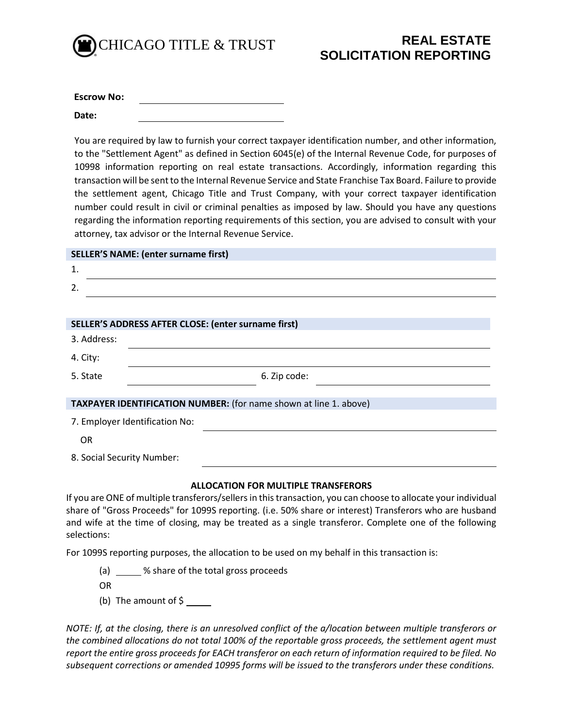

| <b>Escrow No:</b> |  |
|-------------------|--|
| Date:             |  |

You are required by law to furnish your correct taxpayer identification number, and other information, to the "Settlement Agent" as defined in Section 6045(e) of the Internal Revenue Code, for purposes of 10998 information reporting on real estate transactions. Accordingly, information regarding this transaction will be sent to the Internal Revenue Service and State Franchise Tax Board. Failure to provide the settlement agent, Chicago Title and Trust Company, with your correct taxpayer identification number could result in civil or criminal penalties as imposed by law. Should you have any questions regarding the information reporting requirements of this section, you are advised to consult with your attorney, tax advisor or the Internal Revenue Service.

| <b>SELLER'S NAME: (enter surname first)</b>                       |  |
|-------------------------------------------------------------------|--|
| 1.                                                                |  |
| 2.                                                                |  |
|                                                                   |  |
| <b>SELLER'S ADDRESS AFTER CLOSE: (enter surname first)</b>        |  |
| 3. Address:                                                       |  |
| 4. City:                                                          |  |
| 5. State<br>6. Zip code:                                          |  |
|                                                                   |  |
| TAXPAYER IDENTIFICATION NUMBER: (for name shown at line 1. above) |  |
| 7. Employer Identification No:                                    |  |
| <b>OR</b>                                                         |  |
| 8. Social Security Number:                                        |  |
|                                                                   |  |

## **ALLOCATION FOR MULTIPLE TRANSFERORS**

If you are ONE of multiple transferors/sellers in this transaction, you can choose to allocate your individual share of "Gross Proceeds" for 1099S reporting. (i.e. 50% share or interest) Transferors who are husband and wife at the time of closing, may be treated as a single transferor. Complete one of the following selections:

For 1099S reporting purposes, the allocation to be used on my behalf in this transaction is:

(a) \_\_\_\_\_ % share of the total gross proceeds

OR

(b) The amount of \$

*NOTE: If, at the closing, there is an unresolved conflict of the a/location between multiple transferors or the combined allocations do not total 100% of the reportable gross proceeds, the settlement agent must report the entire gross proceeds for EACH transferor on each return of information required to be filed. No subsequent corrections or amended 10995 forms will be issued to the transferors under these conditions.*